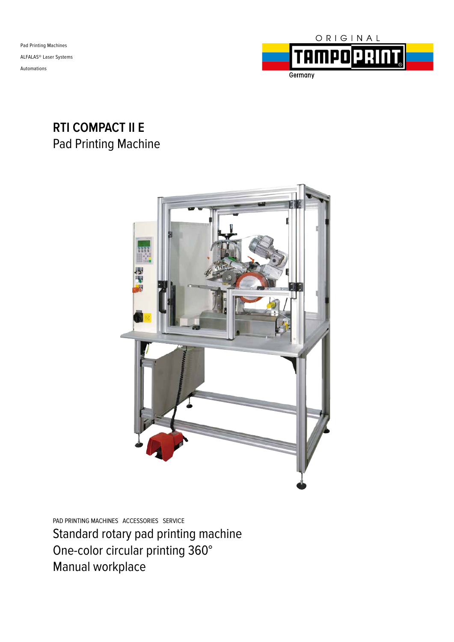Pad Printing Machines ALFALAS® Laser Systems Automations



## **RTI COMPACT II E** Pad Printing Machine



PAD PRINTING MACHINES ACCESSORIES SERVICE Standard rotary pad printing machine One-color circular printing 360° Manual workplace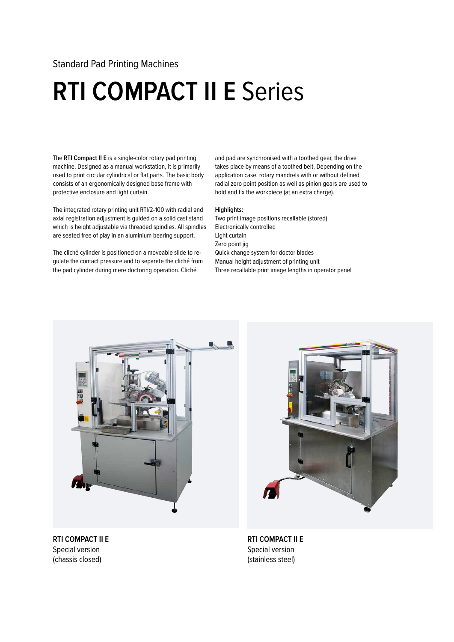### Standard Pad Printing Machines

## **RTI COMPACT II E** Series

The **RTI Compact II E** is a single-color rotary pad printing machine. Designed as a manual workstation, it is primarily used to print circular cylindrical or flat parts. The basic body consists of an ergonomically designed base frame with protective enclosure and light curtain.

The integrated rotary printing unit RTI/2-100 with radial and axial registration adjustment is guided on a solid cast stand which is height adjustable via threaded spindles. All spindles are seated free of play in an aluminium bearing support.

The cliché cylinder is positioned on a moveable slide to regulate the contact pressure and to separate the cliché from the pad cylinder during mere doctoring operation. Cliché

and pad are synchronised with a toothed gear, the drive takes place by means of a toothed belt. Depending on the application case, rotary mandrels with or without defined radial zero point position as well as pinion gears are used to hold and fix the workpiece (at an extra charge).

#### **Highlights:**

Two print image positions recallable (stored) Electronically controlled Light curtain Zero point jig Quick change system for doctor blades Manual height adjustment of printing unit Three recallable print image lengths in operator panel



**RTI COMPACT II E** Special version (chassis closed)



**RTI COMPACT II E** Special version (stainless steel)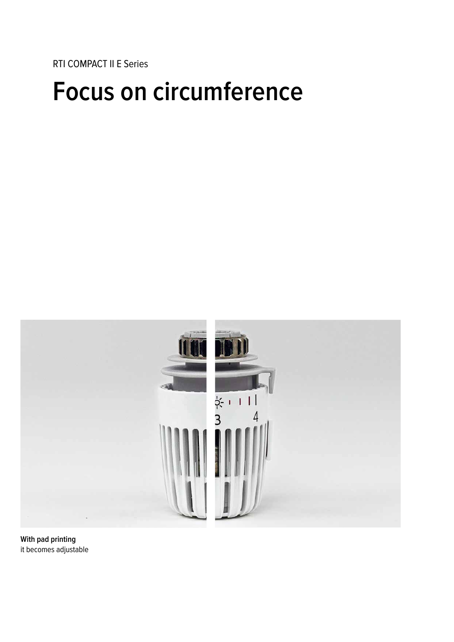RTI COMPACT II E Series

## **Focus on circumference**



**With pad printing** it becomes adjustable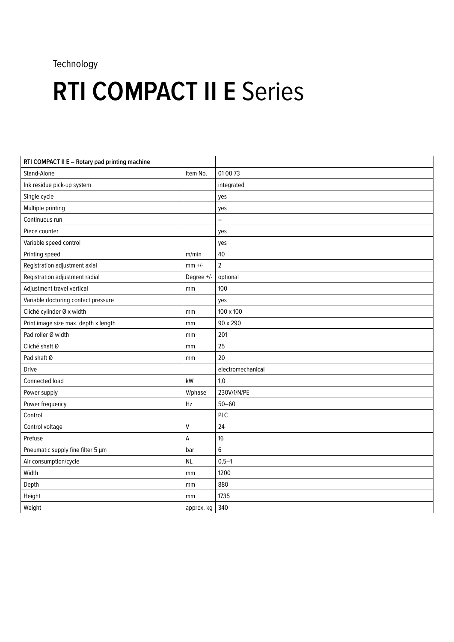## Technology

# **RTI COMPACT II E Series**

| RTI COMPACT II E - Rotary pad printing machine |              |                   |
|------------------------------------------------|--------------|-------------------|
| Stand-Alone                                    | Item No.     | 01 00 73          |
| Ink residue pick-up system                     |              | integrated        |
| Single cycle                                   |              | yes               |
| Multiple printing                              |              | yes               |
| Continuous run                                 |              | $\qquad \qquad -$ |
| Piece counter                                  |              | yes               |
| Variable speed control                         |              | yes               |
| Printing speed                                 | m/min        | 40                |
| Registration adjustment axial                  | $mm$ +/-     | $\overline{c}$    |
| Registration adjustment radial                 | Degree +/-   | optional          |
| Adjustment travel vertical                     | mm           | 100               |
| Variable doctoring contact pressure            |              | yes               |
| Cliché cylinder Ø x width                      | mm           | 100 x 100         |
| Print image size max. depth x length           | mm           | 90 x 290          |
| Pad roller Ø width                             | mm           | 201               |
| Cliché shaft Ø                                 | mm           | 25                |
| Pad shaft Ø                                    | mm           | 20                |
| <b>Drive</b>                                   |              | electromechanical |
| Connected load                                 | kW           | 1,0               |
| Power supply                                   | V/phase      | 230V/1/N/PE       |
| Power frequency                                | Hz           | $50 - 60$         |
| Control                                        |              | PLC               |
| Control voltage                                | $\mathsf{V}$ | 24                |
| Prefuse                                        | A            | 16                |
| Pneumatic supply fine filter 5 µm              | bar          | 6                 |
| Air consumption/cycle                          | <b>NL</b>    | $0,5-1$           |
| Width                                          | mm           | 1200              |
| Depth                                          | mm           | 880               |
| Height                                         | mm           | 1735              |
| Weight                                         | approx. kg   | 340               |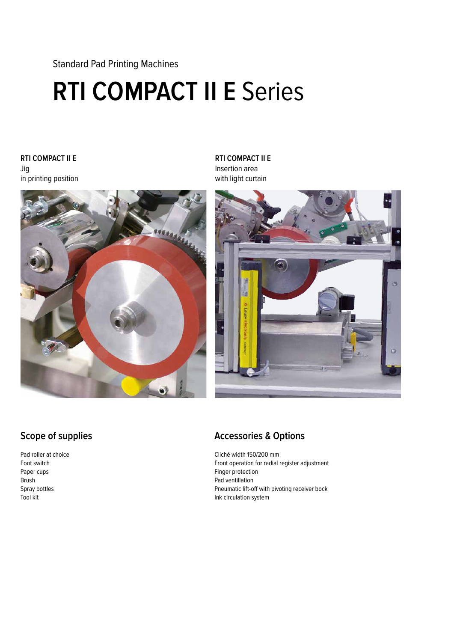Standard Pad Printing Machines

# **RTI COMPACT II E** Series

#### **RTI COMPACT II E** Jig in printing position



**RTI COMPACT II E** Insertion area with light curtain



### **Scope of supplies**

Pad roller at choice Foot switch Paper cups Brush Spray bottles Tool kit

### **Accessories & Options**

Cliché width 150/200 mm Front operation for radial register adjustment Finger protection Pad ventillation Pneumatic lift-off with pivoting receiver bock Ink circulation system